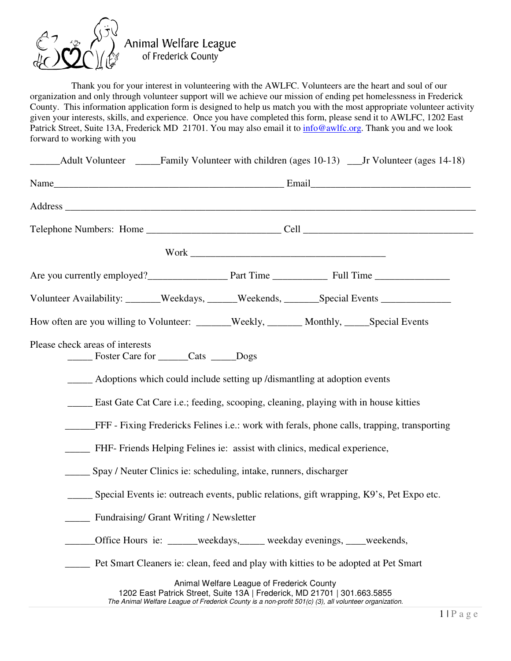

Animal Welfare League<br>of Frederick County

 Thank you for your interest in volunteering with the AWLFC. Volunteers are the heart and soul of our organization and only through volunteer support will we achieve our mission of ending pet homelessness in Frederick County. This information application form is designed to help us match you with the most appropriate volunteer activity given your interests, skills, and experience. Once you have completed this form, please send it to AWLFC, 1202 East Patrick Street, Suite 13A, Frederick MD 21701. You may also email it to **info@awlfc.org.** Thank you and we look forward to working with you

| Adult Volunteer ______Family Volunteer with children (ages 10-13) ___Jr Volunteer (ages 14-18)                                                                                    |                                           |  |  |  |  |
|-----------------------------------------------------------------------------------------------------------------------------------------------------------------------------------|-------------------------------------------|--|--|--|--|
|                                                                                                                                                                                   |                                           |  |  |  |  |
|                                                                                                                                                                                   |                                           |  |  |  |  |
|                                                                                                                                                                                   |                                           |  |  |  |  |
|                                                                                                                                                                                   |                                           |  |  |  |  |
| Are you currently employed?<br><u>Part Time</u> Part Time Full Time                                                                                                               |                                           |  |  |  |  |
| Volunteer Availability: _______Weekdays, ______Weekends, _______Special Events ____________________                                                                               |                                           |  |  |  |  |
| How often are you willing to Volunteer: ______Weekly, _______ Monthly, _____Special Events                                                                                        |                                           |  |  |  |  |
| Please check areas of interests<br>Foster Care for _______Cats ______Dogs                                                                                                         |                                           |  |  |  |  |
| _______ Adoptions which could include setting up /dismantling at adoption events                                                                                                  |                                           |  |  |  |  |
| <b>East Gate Cat Care i.e.; feeding, scooping, cleaning, playing with in house kitties</b>                                                                                        |                                           |  |  |  |  |
| FFF - Fixing Fredericks Felines i.e.: work with ferals, phone calls, trapping, transporting                                                                                       |                                           |  |  |  |  |
| <b>EXAMPLE FR</b> Friends Helping Felines ie: assist with clinics, medical experience,                                                                                            |                                           |  |  |  |  |
| Spay / Neuter Clinics ie: scheduling, intake, runners, discharger                                                                                                                 |                                           |  |  |  |  |
| ______ Special Events ie: outreach events, public relations, gift wrapping, K9's, Pet Expo etc.                                                                                   |                                           |  |  |  |  |
| Fundraising/ Grant Writing / Newsletter                                                                                                                                           |                                           |  |  |  |  |
| Office Hours ie: ______weekdays,_____weekday evenings, ____weekends,                                                                                                              |                                           |  |  |  |  |
| Pet Smart Cleaners ie: clean, feed and play with kitties to be adopted at Pet Smart                                                                                               |                                           |  |  |  |  |
| 1202 East Patrick Street, Suite 13A   Frederick, MD 21701   301.663.5855<br>The Animal Welfare League of Frederick County is a non-profit 501(c) (3), all volunteer organization. | Animal Welfare League of Frederick County |  |  |  |  |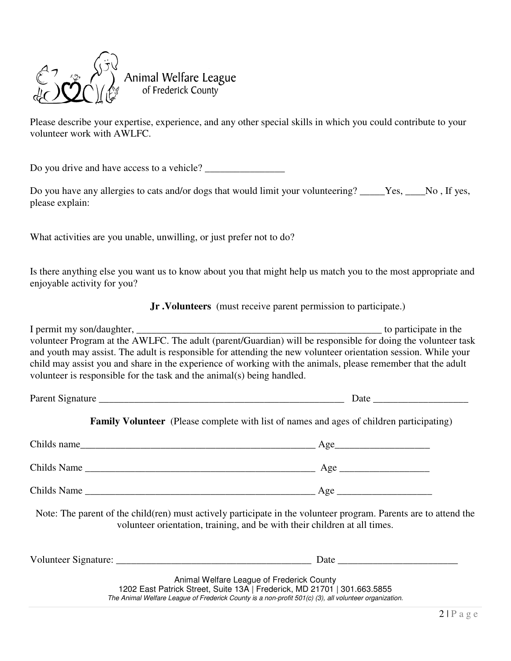

Animal Welfare League<br>of Frederick County

Please describe your expertise, experience, and any other special skills in which you could contribute to your volunteer work with AWLFC.

Do you drive and have access to a vehicle? \_\_\_\_\_\_\_\_\_\_\_\_\_\_\_\_

Do you have any allergies to cats and/or dogs that would limit your volunteering? \_\_\_\_\_Yes, \_\_\_\_No, If yes, please explain:

What activities are you unable, unwilling, or just prefer not to do?

Is there anything else you want us to know about you that might help us match you to the most appropriate and enjoyable activity for you?

 **Jr .Volunteers** (must receive parent permission to participate.)

| I permit my son/daughter,                                                                                      | to participate in the |
|----------------------------------------------------------------------------------------------------------------|-----------------------|
| volunteer Program at the AWLFC. The adult (parent/Guardian) will be responsible for doing the volunteer task   |                       |
| and youth may assist. The adult is responsible for attending the new volunteer orientation session. While your |                       |
| child may assist you and share in the experience of working with the animals, please remember that the adult   |                       |
| volunteer is responsible for the task and the animal(s) being handled.                                         |                       |
|                                                                                                                |                       |

Parent Signature \_\_\_\_\_\_\_\_\_\_\_\_\_\_\_\_\_\_\_\_\_\_\_\_\_\_\_\_\_\_\_\_\_\_\_\_\_\_\_\_\_\_\_\_\_\_\_\_\_ Date \_\_\_\_\_\_\_\_\_\_\_\_\_\_\_\_\_\_\_

**Family Volunteer** (Please complete with list of names and ages of children participating)

| Childs name | Age |
|-------------|-----|
| Childs Name | Age |
| Childs Name | Age |

Note: The parent of the child(ren) must actively participate in the volunteer program. Parents are to attend the volunteer orientation, training, and be with their children at all times.

| Volunteer Signature: | Date                                                                                                  |
|----------------------|-------------------------------------------------------------------------------------------------------|
|                      | Animal Welfare League of Frederick County                                                             |
|                      | 1202 East Patrick Street, Suite 13A   Frederick, MD 21701   301.663.5855                              |
|                      | The Animal Welfare League of Frederick County is a non-profit 501(c) (3), all volunteer organization. |